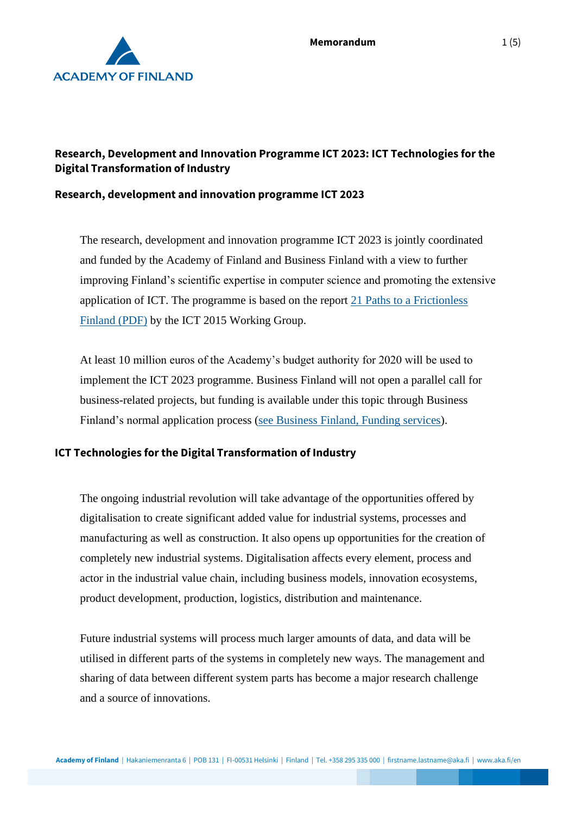

## **Research, Development and Innovation Programme ICT 2023: ICT Technologies for the Digital Transformation of Industry**

#### **Research, development and innovation programme ICT 2023**

The research, development and innovation programme ICT 2023 is jointly coordinated and funded by the Academy of Finland and Business Finland with a view to further improving Finland's scientific expertise in computer science and promoting the extensive application of ICT. The programme is based on the report [21 Paths to a Frictionless](https://tem.fi/documents/1410877/3437254/21+Paths+to+a+frictionless+Finland+15052013.pdf)  [Finland \(PDF\)](https://tem.fi/documents/1410877/3437254/21+Paths+to+a+frictionless+Finland+15052013.pdf) by the ICT 2015 Working Group.

At least 10 million euros of the Academy's budget authority for 2020 will be used to implement the ICT 2023 programme. Business Finland will not open a parallel call for business-related projects, but funding is available under this topic through Business Finland's normal application process [\(see Business Finland, Funding services\)](https://www.businessfinland.fi/en/for-finnish-customers/services/funding/).

#### **ICT Technologies for the Digital Transformation of Industry**

The ongoing industrial revolution will take advantage of the opportunities offered by digitalisation to create significant added value for industrial systems, processes and manufacturing as well as construction. It also opens up opportunities for the creation of completely new industrial systems. Digitalisation affects every element, process and actor in the industrial value chain, including business models, innovation ecosystems, product development, production, logistics, distribution and maintenance.

Future industrial systems will process much larger amounts of data, and data will be utilised in different parts of the systems in completely new ways. The management and sharing of data between different system parts has become a major research challenge and a source of innovations.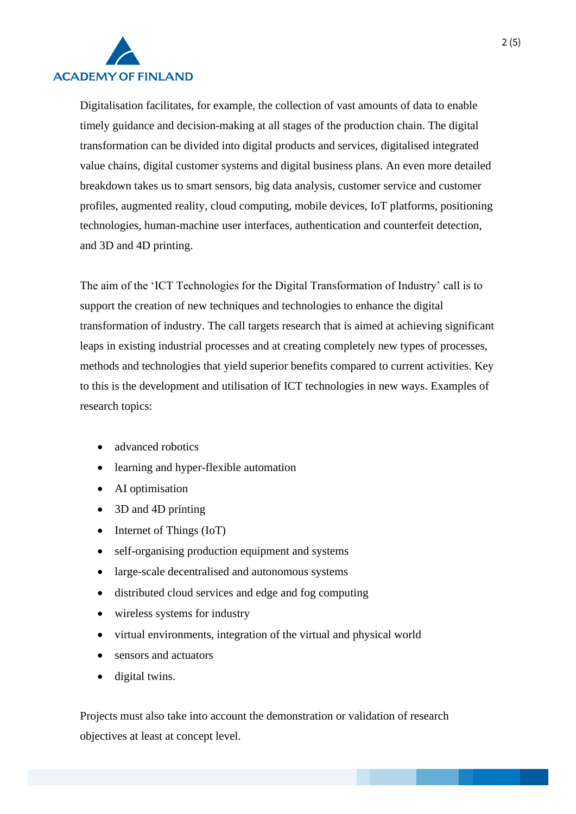

Digitalisation facilitates, for example, the collection of vast amounts of data to enable timely guidance and decision-making at all stages of the production chain. The digital transformation can be divided into digital products and services, digitalised integrated value chains, digital customer systems and digital business plans. An even more detailed breakdown takes us to smart sensors, big data analysis, customer service and customer profiles, augmented reality, cloud computing, mobile devices, IoT platforms, positioning technologies, human-machine user interfaces, authentication and counterfeit detection, and 3D and 4D printing.

The aim of the 'ICT Technologies for the Digital Transformation of Industry' call is to support the creation of new techniques and technologies to enhance the digital transformation of industry. The call targets research that is aimed at achieving significant leaps in existing industrial processes and at creating completely new types of processes, methods and technologies that yield superior benefits compared to current activities. Key to this is the development and utilisation of ICT technologies in new ways. Examples of research topics:

- advanced robotics
- learning and hyper-flexible automation
- AI optimisation
- 3D and 4D printing
- Internet of Things (IoT)
- self-organising production equipment and systems
- large-scale decentralised and autonomous systems
- distributed cloud services and edge and fog computing
- wireless systems for industry
- virtual environments, integration of the virtual and physical world
- sensors and actuators
- digital twins.

Projects must also take into account the demonstration or validation of research objectives at least at concept level.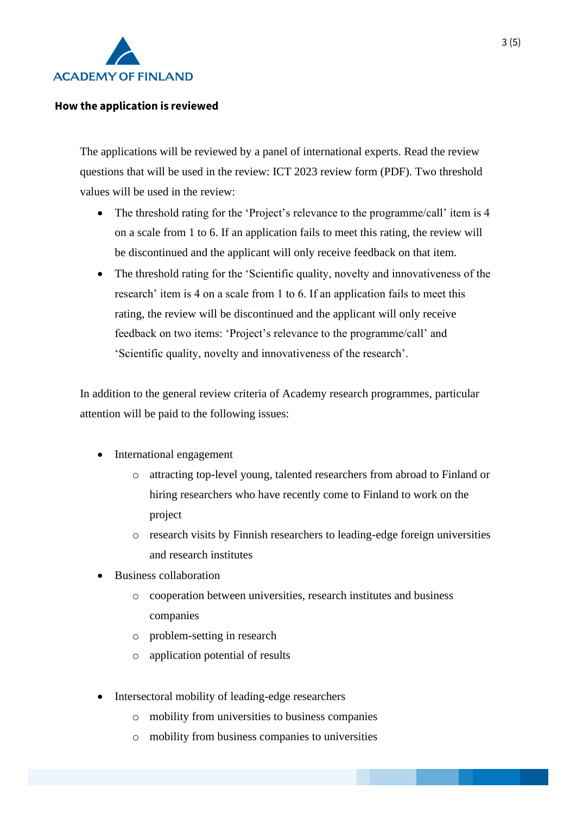

#### **How the application is reviewed**

The applications will be reviewed by a panel of international experts. Read the review questions that will be used in the review: ICT 2023 review form (PDF). Two threshold values will be used in the review:

- The threshold rating for the 'Project's relevance to the programme/call' item is 4 on a scale from 1 to 6. If an application fails to meet this rating, the review will be discontinued and the applicant will only receive feedback on that item.
- The threshold rating for the 'Scientific quality, novelty and innovativeness of the research' item is 4 on a scale from 1 to 6. If an application fails to meet this rating, the review will be discontinued and the applicant will only receive feedback on two items: 'Project's relevance to the programme/call' and 'Scientific quality, novelty and innovativeness of the research'.

In addition to the general review criteria of Academy research programmes, particular attention will be paid to the following issues:

- International engagement
	- o attracting top-level young, talented researchers from abroad to Finland or hiring researchers who have recently come to Finland to work on the project
	- o research visits by Finnish researchers to leading-edge foreign universities and research institutes
- Business collaboration
	- o cooperation between universities, research institutes and business companies
	- o problem-setting in research
	- o application potential of results
- Intersectoral mobility of leading-edge researchers
	- o mobility from universities to business companies
	- o mobility from business companies to universities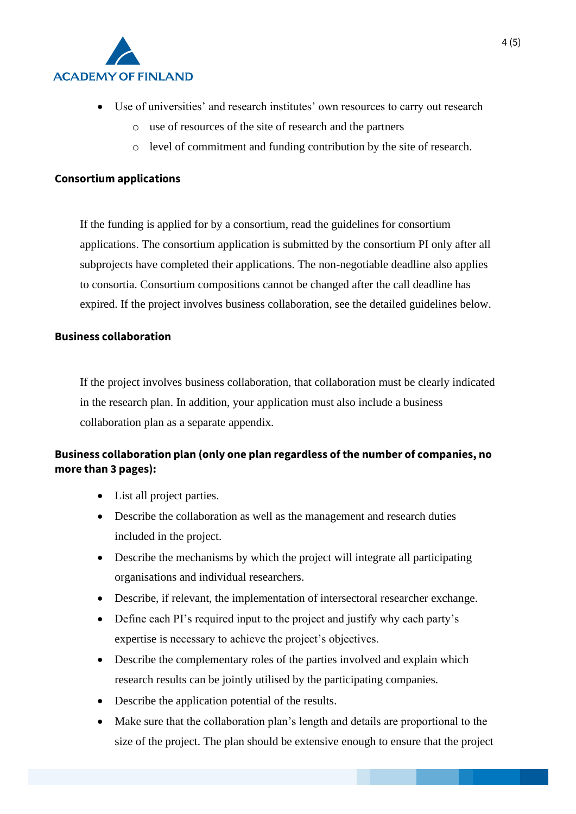

- Use of universities' and research institutes' own resources to carry out research
	- o use of resources of the site of research and the partners
	- o level of commitment and funding contribution by the site of research.

#### **Consortium applications**

If the funding is applied for by a consortium, read the guidelines for consortium applications. The consortium application is submitted by the consortium PI only after all subprojects have completed their applications. The non-negotiable deadline also applies to consortia. Consortium compositions cannot be changed after the call deadline has expired. If the project involves business collaboration, see the detailed guidelines below.

## **Business collaboration**

If the project involves business collaboration, that collaboration must be clearly indicated in the research plan. In addition, your application must also include a business collaboration plan as a separate appendix.

# **Business collaboration plan (only one plan regardless of the number of companies, no more than 3 pages):**

- List all project parties.
- Describe the collaboration as well as the management and research duties included in the project.
- Describe the mechanisms by which the project will integrate all participating organisations and individual researchers.
- Describe, if relevant, the implementation of intersectoral researcher exchange.
- Define each PI's required input to the project and justify why each party's expertise is necessary to achieve the project's objectives.
- Describe the complementary roles of the parties involved and explain which research results can be jointly utilised by the participating companies.
- Describe the application potential of the results.
- Make sure that the collaboration plan's length and details are proportional to the size of the project. The plan should be extensive enough to ensure that the project